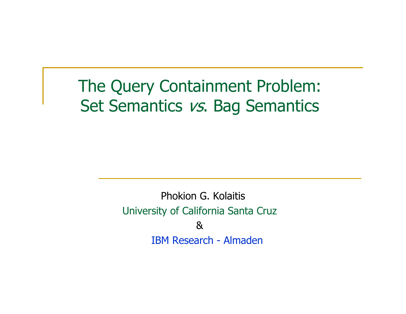#### The Query Containment Problem:Set Semantics vs. Bag Semantics

Phokion G. KolaitisUniversity of California Santa Cruz &IBM Research - Almaden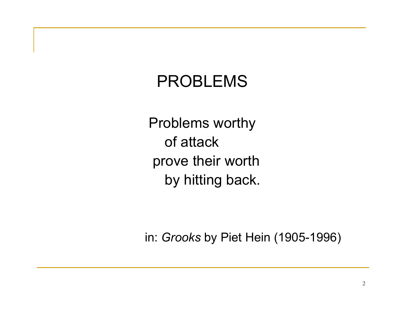#### PROBLEMS

Problems worthy of attack prove their worth by hitting back.

in: *Grooks* by Piet Hein (1905-1996)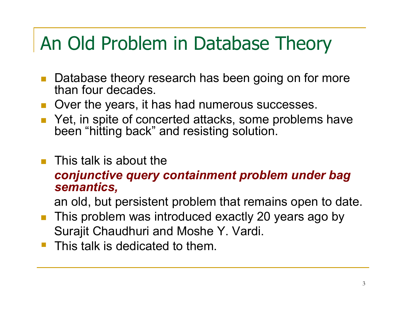# An Old Problem in Database Theory

- Database theory research has been going on for morethan four decades.
- Over the years, it has had numerous successes.
- $\mathcal{L}^{\text{max}}_{\text{max}}$  Yet, in spite of concerted attacks, some problems have been "hitting back" and resisting solution.
- $\mathcal{L}^{\text{max}}$ This talk is about the

#### *conjunctive query containment problem under bag semantics,*

an old, but persistent problem that remains open to date.

- $\mathcal{L}^{\text{max}}_{\text{max}}$  This problem was introduced exactly 20 years ago bySurajit Chaudhuri and Moshe Y. Vardi.
- This talk is dedicated to them.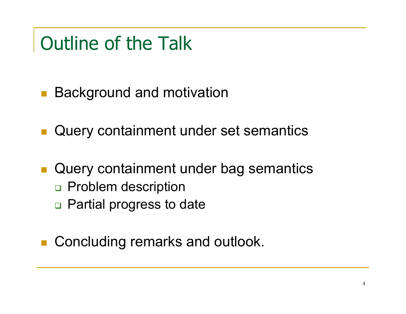# Outline of the Talk

- $\mathbb{R}^3$ ■ Background and motivation
- **Query containment under set semantics**
- $\mathbb{R}^3$ **Query containment under bag semantics** □ Problem description
	- □ Partial progress to date
- $\mathcal{L}(\mathcal{A})$ Concluding remarks and outlook.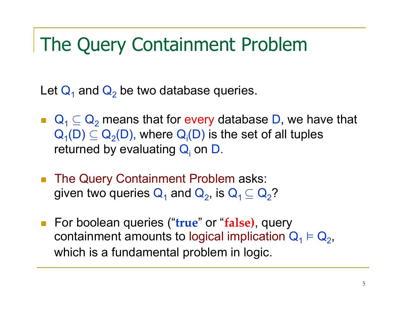#### The Query Containment Problem

Let  ${\sf Q}_1$  and  ${\sf Q}_2$  $_{\rm 2}$  be two database queries.

- $\blacksquare \quad \square \quad \square \quad \square \quad \square$  $\mathsf{Q}_{\mathtt{1}}(\mathsf{D}) \subseteq \mathsf{Q}_{\mathtt{2}}(\mathsf{D}),$  where  $\mathsf{Q}_{\mathsf{i}}(\mathsf{D})$  is the set of all tuples  $_2$  means that for every database D, we have that returned by evaluating Q<sub>i</sub> on D.
- $\left\vert \psi \right\rangle$ The Query Containment Problem asks:<br>
given two queries  $\bigcap$  and  $\bigcap$  is  $\bigcap$   $\subset$   $\bigcap$ given two queries  $\mathbf{Q}_1$  and  $\mathbf{Q}_2$ , is  $\mathbf{Q}_1 \subseteq \mathbf{Q}_2$ ?
- For boolean queries ("**true**" or "**false)**, query containment amounts to logical implication  $Q_1 \vDash Q_2$ , which is a fundamental problem in logic.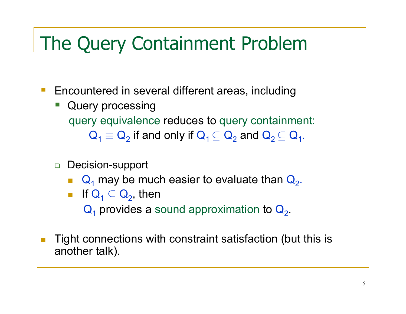# The Query Containment Problem

- $\mathcal{L}_{\mathcal{A}}$  Encountered in several different areas, including
	- - Query processing query equivalence reduces to query containment:  ${\sf Q}_1 \equiv {\sf Q}_2$  $_2$  if and only if  $\mathsf{Q}_1 \subseteq \mathsf{Q}_2$  $_2$  and  ${\sf Q}_2$   $\subseteq$   ${\sf Q}_1.$
	- <mark>ப</mark> Decision-support
		- $\mathsf{Q}_1$  may be much easier to evaluate than  $\mathsf{Q}_2$ .
		- If  $\mathsf{Q}_1 \subseteq \mathsf{Q}_2$ , then  $\mathsf{Q}_1$  provides a sound approximation to  $\mathsf{Q}_2$
- m, Tight connections with constraint satisfaction (but this is another talk).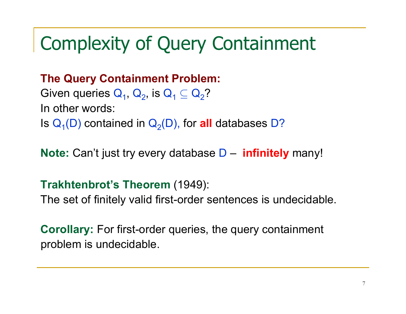## Complexity of Query Containment

#### **The Query Containment Problem:**

Given queries  $\mathsf{Q}_{1}$ ,  $\mathsf{Q}_{2}$ , is  $\mathsf{Q}_{1} \subseteq \mathsf{Q}_{2}$ ? In other words:Is  $\mathsf{Q}_{\mathsf{1}}(\mathsf{D})$  contained in  $\mathsf{Q}_{\mathsf{2}}(\mathsf{D})$ , for **all** databases D?

**Note:** Can't just try every database D–**infinitely** many!

#### **Trakhtenbrot's Theorem** (1949):

The set of finitely valid first-order sentences is undecidable.

**Corollary:** For first-order queries, the query containment problem is undecidable.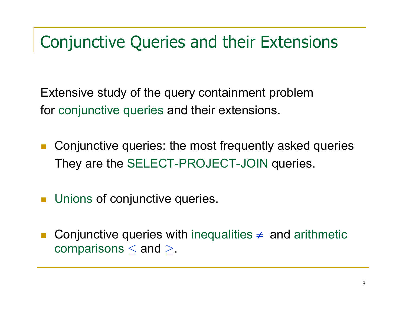#### Conjunctive Queries and their Extensions

Extensive study of the query containment problem for conjunctive queries and their extensions.

- $\mathcal{C}^{\mathcal{A}}$  Conjunctive queries: the most frequently asked queriesThey are the SELECT-PROJECT-JOIN queries.
- **Unions of conjunctive queries.**
- $\overline{\mathbb{R}^n}$ ■ Conjunctive queries with inequalities  $\neq$  and arithmetic comparisons  $\leq$  and  $\geq$ .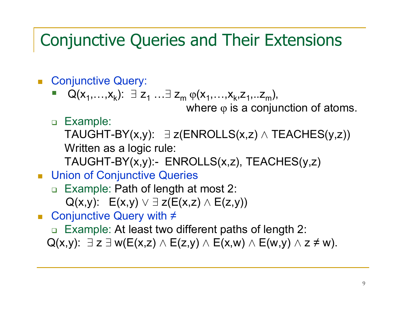#### Conjunctive Queries and Their Extensions

- Conjunctive Query:
	- Q( $x_1, \ldots, x_k$ ): ∃z<sub>1</sub>  $\overline{1}$   $\overline{1}$  $\exists$  Z<sub>m</sub>  $\phi$ (x<sub>1</sub>,...,x<sub>k</sub>,z<sub>1</sub>,..z<sub>m</sub>), where  $\phi$  is a conjunction of atoms.
	- □ Example:<br>—………

TAUGHT-BY(x,y): ∃ z(ENROLLS(x,z) ∧ TEACHES(y,z))<br>\\\;;; Written as a logic rule:

TAUGHT-BY(x,y):- ENROLLS(x,z), TEACHES(y,z)

- Union of Conjunctive Queries
	- □ Example: Path of length at most 2:  $Q(x,y)$ :  $E(x,y) \vee \exists z (E(x,z) \wedge E(z,y))$
- Conjunctive Query with ≠
	- □ Example: At least two different paths of length 2:
	- $Q(x,y)$ :  $\exists z \exists w (E(x,z) \land E(z,y) \land E(x,w) \land E(w,y) \land z \neq w)$ .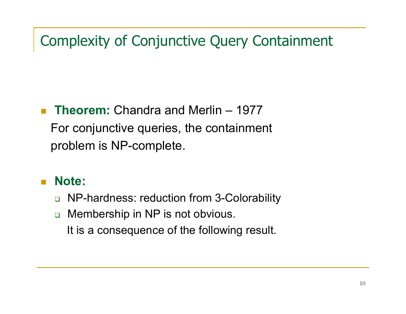#### Complexity of Conjunctive Query Containment

#### $\overline{\phantom{a}}$  **Theorem:** Chandra and Merlin – <sup>1977</sup> For conjunctive queries, the containmentproblem is NP-complete.

#### $\mathcal{L}_{\mathcal{A}}$ **Note:**

- □ NP-hardness: reduction from 3-Colorability
- $\Box$  Membership in NP is not obvious. It is a consequence of the following result.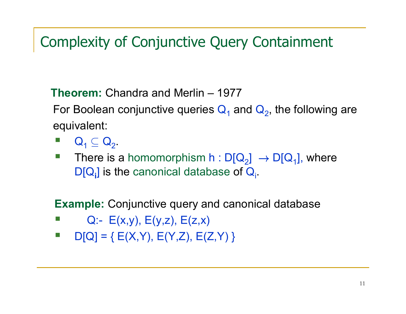#### Complexity of Conjunctive Query Containment

**Theorem:** Chandra and Merlin – <sup>1977</sup>

For Boolean conjunctive queries  $\mathbf{Q}_1$  and  $\mathbf{Q}_2$ , the following are equivalent:

- - $\mathsf{Q}_1 \subseteq \mathsf{Q}_2.$
- There is a homomorphism  $h: D[Q_2] \to D[Q_1]$ , where<br>
DIO l is the canonical database of O - $\mathsf{D}[\mathsf{Q}_{\mathsf{i}}]$  is the canonical database of  $\mathsf{Q}_{\mathsf{i}}.$

**Example:** Conjunctive query and canonical database

- -Q:-  $E(x,y)$ ,  $E(y,z)$ ,  $E(z,x)$
- $\left\vert \cdot\right\vert$  $D[Q] = \{ E(X,Y), E(Y,Z), E(Z,Y) \}$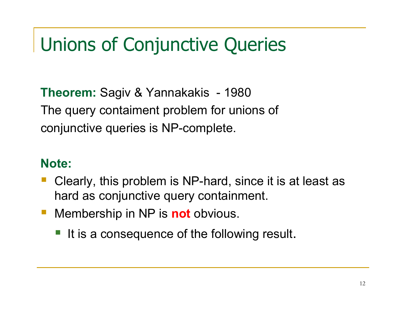# Unions of Conjunctive Queries

**Theorem:** Sagiv & Yannakakis - 1980<br>— The query contaiment problem for unions of conjunctive queries is NP-complete.

#### **Note:**

- Clearly, this problem is NP-hard, since it is at least as hard as conjunctive query containment.
- Membership in NP is **not** obvious.
	- It is a consequence of the following result.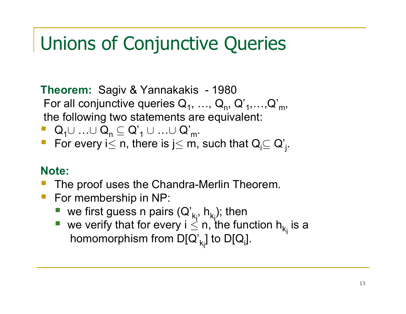### Unions of Conjunctive Queries

**Theorem:** Sagiv & Yannakakis - <sup>1980</sup> For all conjunctive queries  $\mathsf{Q}_1, \, ... , \, \mathsf{Q}_\mathsf{n}, \, \mathsf{Q'}_\mathsf{1}, ... , \mathsf{Q'}_\mathsf{m},$ the following two statements are equivalent:

- $\begin{array}{lll} \blacksquare & \mathsf{Q}_1 \cup \ldots \cup \mathsf{Q}_n \subseteq \mathsf{Q'}_1 \cup \ \rule{0pt}{13pt} \mathsf{C} & \mathsf{C} & \mathsf{C} \end{array}$ …∪ Q'<br>. m.
- For every i $\leq$  n, there is j $\leq$  m, such that  $\mathsf{Q}_{\mathsf{i}} \subseteq \mathsf{Q}'_{\mathsf{j}}$ .

#### **Note:**

- $\mathcal{L}_{\mathcal{A}}$ The proof uses the Chandra-Merlin Theorem.
- **For membership in NP:** 
	- **ve first guess n pairs**  $(Q'_{k_i}, h_{k_i})$ **; then**
	- we verify that for every  $i \leq n$ , the function  $h_{k_i}$  is a here receptions from  $D\Omega$ , the  $D\Omega$ homomorphism from D[Q'<sub>k<sub>i</sub>] to D[Q<sub>i</sub>].</sub>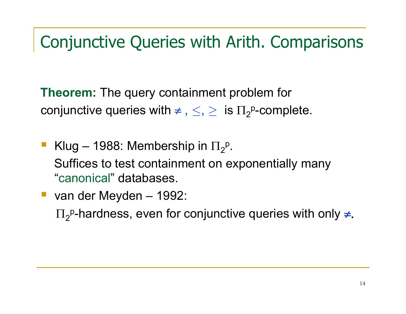#### Conjunctive Queries with Arith. Comparisons

**Theorem:** The query containment problem for conjunctive queries with  $\neq$  $\mathbf{v}$  $\leq, \geq \;$  is  $\Pi_2^{\, \mathsf{p}}$ -complete.

- -**Klug – 1988: Membership in**  $\Pi_2$  Suffices to test containment on exponentially many p ."canonical" databases.
- van der Meyden 1992:

 $\Pi_2$ <sup>p</sup>-hardness, even for conjunctive queries with only ≠.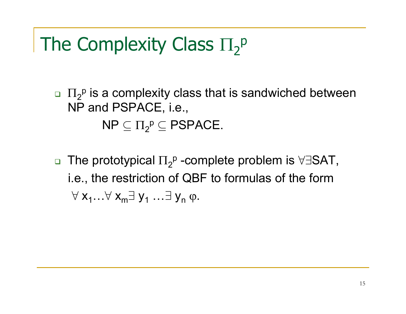#### The Complexity Class Π2p

 $\Box\;\; \Pi_2$  NP and PSPACE, i.e., $P$  is a complexity class that is sandwiched between

> $\mathsf{NP} \subseteq \Pi_2$  $P \subseteq PSPACE$ .

 $\Box$  $\, \square \,$  The prototypical  $\Pi_2$  i.e., the restriction of QBF to formulas of the form p -complete problem is ∀∃SAT,  $\forall$  x $_{1}... \forall$  x $_{\sf m}$ ∃ y $_{1}$  $\overline{1}$   $\overline{1}$   $\overline{1}$  $\exists$  y<sub>n</sub> φ.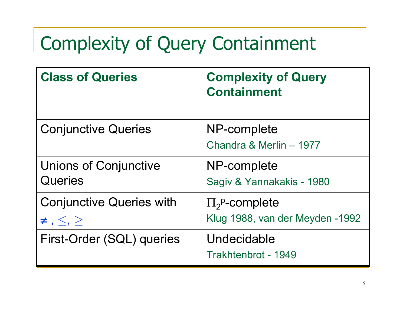# Complexity of Query Containment

| <b>Class of Queries</b>                                     | <b>Complexity of Query</b><br><b>Containment</b>                |
|-------------------------------------------------------------|-----------------------------------------------------------------|
| <b>Conjunctive Queries</b>                                  | NP-complete<br>Chandra & Merlin - 1977                          |
| <b>Unions of Conjunctive</b><br>Queries                     | NP-complete<br>Sagiv & Yannakakis - 1980                        |
| <b>Conjunctive Queries with</b><br>$\neq$ , $\leq$ , $\geq$ | $\Pi_2^{\text{p}}$ -complete<br>Klug 1988, van der Meyden -1992 |
| First-Order (SQL) queries                                   | Undecidable<br>Trakhtenbrot - 1949                              |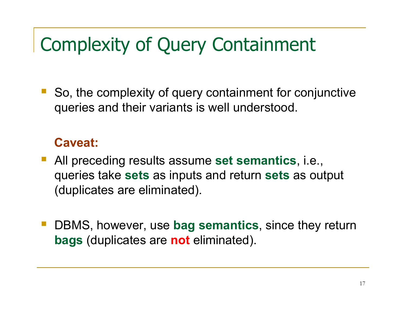## Complexity of Query Containment

 So, the complexity of query containment for conjunctive queries and their variants is well understood.

#### **Caveat:**

- All preceding results assume **set semantics**, i.e., queries take **sets** as inputs and return **sets** as output (duplicates are eliminated).
- DBMS, however, use **bag semantics**, since they return **bags** (duplicates are **not** eliminated).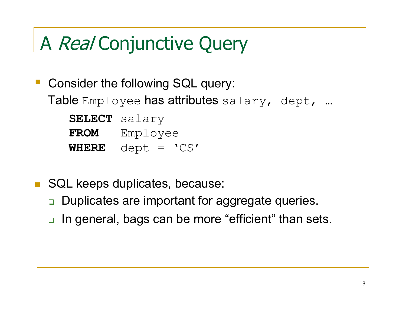# A Real Conjunctive Query

- Consider the following SQL query:  ${\sf Table}$  Employee  ${\sf has}$  attributes  ${\sf salary}$ ,  ${\sf depth}$ , …

|             | SELECT salary                             |
|-------------|-------------------------------------------|
| <b>FROM</b> | Employee                                  |
|             | WHERE $\text{depth} = \text{'}\text{CS'}$ |

- $\mathcal{L}_{\mathcal{A}}$  SQL keeps duplicates, because:
	- $\Box$ Duplicates are important for aggregate queries.
	- **□ In general, bags can be more "efficient" than sets.**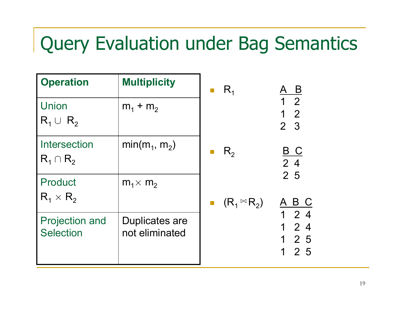# Query Evaluation under Bag Semantics

| <b>Operation</b>                          | <b>Multiplicity</b>                     | $R_{1}$               | <u>B</u>                                           |
|-------------------------------------------|-----------------------------------------|-----------------------|----------------------------------------------------|
| Union<br>$R_1 \cup R_2$                   | $m_1 + m_2$                             |                       | 1 <sub>2</sub><br>$1 \quad 2$<br>2 <sup>3</sup>    |
| Intersection<br>$R_1 \cap R_2$            | $min(m_1, m_2)$                         | $R_{2}$               | <u>B C</u><br>24                                   |
| Product<br>$R_1 \times R_2$               | $m_1 \times m_2$                        | $(R_1 \boxtimes R_2)$ | 2 5<br>A B C                                       |
| <b>Projection and</b><br><b>Selection</b> | <b>Duplicates are</b><br>not eliminated |                       | $1\quad2\quad4$<br>24<br>1<br>2 5<br>1<br>2 5<br>1 |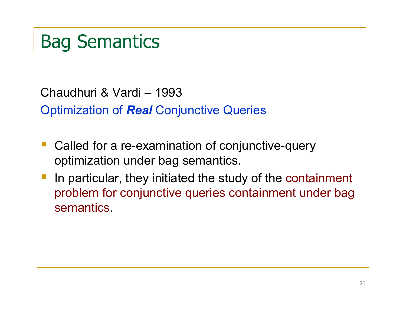# Bag Semantics

Chaudhuri & Vardi – <sup>1993</sup>

Optimization of *Real* Conjunctive Queries

- Called for a re-examination of conjunctive-query optimization under bag semantics.
- In particular, they initiated the study of the containment problem for conjunctive queries containment under bag semantics.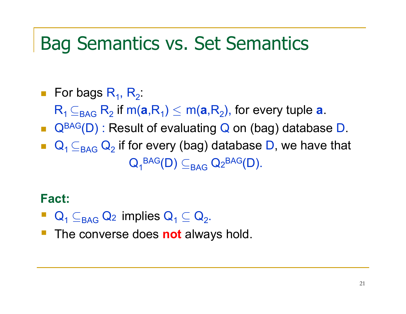### Bag Semantics vs. Set Semantics

 $\blacksquare$  For bags  $\mathsf{R}_{\mathsf{1}},\,\mathsf{R}_{\mathsf{2}}$  $\mathsf{R}_\mathsf{1} \mathop{\subseteq_{\mathsf{BAG}}} \mathsf{R}_\mathsf{2}$  if :■ Q<sup>BAG</sup>(D) : Result of evaluating Q on (bag) database D.  $\frac{1}{2}$  if m( $\mathbf{a}$ ,R<sub>1</sub>)  $\leq$  m( $\mathbf{a}$ ,R<sub>2</sub>), for every tuple  $\mathbf{a}$ . ■  $\mathsf{Q}_\textsf{1} \subseteq_\mathsf{BAG} \mathsf{Q}_\textsf{2}$  $_2$  if for every (bag) database D, we have that  $\mathsf{Q}_\mathtt{1}{}^\mathsf{BAG}(\mathsf{D}) \subseteq_\mathsf{BAG} \mathsf{Q}_\mathtt{2}{}^\mathsf{BAG}(\mathsf{D}).$ 

#### **Fact:**

- $\mathsf{Q}_\mathsf{1} \subseteq_\mathsf{BAG} \mathsf{Q}_\mathsf{2}$  implies  $\mathsf{Q}_\mathsf{1} \subseteq \mathsf{Q}_\mathsf{2}.$
- **The converse does not always hold.**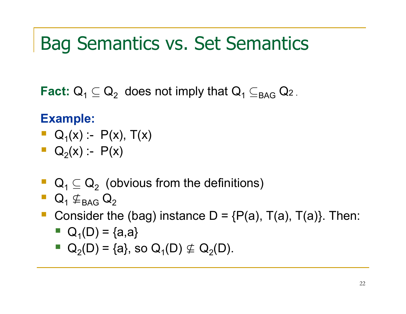### Bag Semantics vs. Set Semantics

Fact:  $\mathsf{Q}_\mathsf{1} \subseteq \mathsf{Q}_\mathsf{2}$  $_2$  does not imply that  ${\sf Q}_{\sf 1}$   $\subseteq_{\sf BAG}$   ${\sf Q}_{\sf 2}$  .

#### **Example:**

$$
\bullet \quad Q_1(x) := P(x), \ T(x)
$$

- $\blacksquare$  Q<sub>2</sub>(x) :- P(x)
- $\blacksquare$  Q<sub>1</sub>  $\subseteq$  Q<sub>2</sub>  $_2$  (obvious from the definitions)
- $\blacksquare$  Q<sub>1</sub>  $\not\subseteq$ <sub>BAG</sub> Q<sub>2</sub>
- **Consider the (bag) instance D = {P(a), T(a), T(a)}. Then:** 
	- $\blacksquare$  Q<sub>1</sub>(D) = {a,a}
	- $Q_2(D) = \{a\}$ , so  $Q_1(D) \nsubseteq Q_2(D)$ .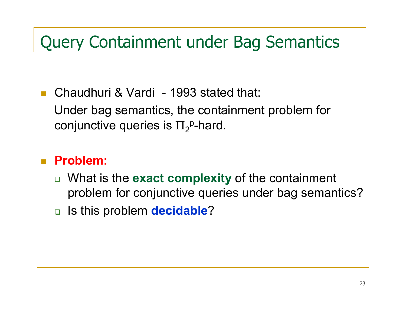#### Query Containment under Bag Semantics

 $\mathbb{R}^2$  Chaudhuri & Vardi - 1993 stated that: Under bag semantics, the containment problem for conjunctive queries is  $\Pi_2^{\sf p}\text{-}$ hard.

#### $\mathcal{L}_{\text{max}}$ **Problem:**

- What is the **exact complexity** of the containment problem for conjunctive queries under bag semantics?
- Is this problem **decidable**?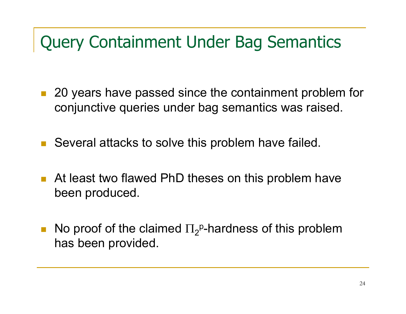#### Query Containment Under Bag Semantics

- 20 years have passed since the containment problem for conjunctive queries under bag semantics was raised.
- Several attacks to solve this problem have failed.
- At least two flawed PhD theses on this problem have been produced.
- $\mathcal{L}_{\mathcal{A}}$ No proof of the claimed  $\Pi_2^{\text{p}}$ -hardness of this problem has been provided.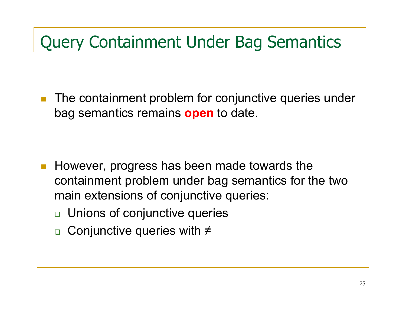#### Query Containment Under Bag Semantics

 $\mathcal{L}(\mathcal{A})$  The containment problem for conjunctive queries under bag semantics remains **open** to date.

- $\mathbb{R}^3$  However, progress has been made towards the containment problem under bag semantics for the twomain extensions of conjunctive queries:
	- □ Unions of conjunctive queries
	- Conjunctive queries with ≠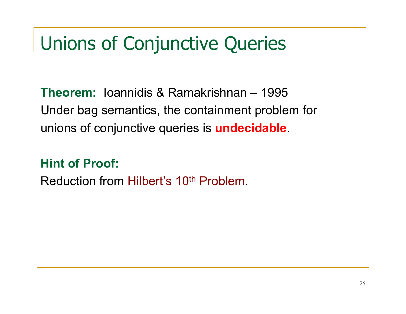## Unions of Conjunctive Queries

**Theorem:** Ioannidis & Ramakrishnan – <sup>1995</sup> Under bag semantics, the containment problem forunions of conjunctive queries is **undecidable**.

**Hint of Proof:**

Reduction from Hilbert's 10<sup>th</sup> Problem.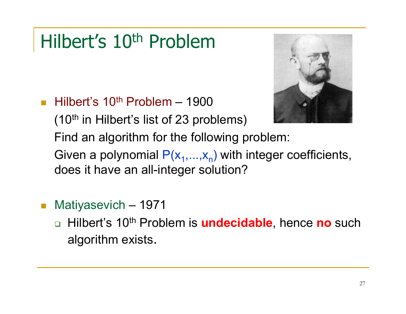## Hilbert's 10<sup>th</sup> Problem



 $\mathcal{L}^{\mathcal{L}}$ **Hilbert's 10<sup>th</sup> Problem – 1900** 

 $(10<sup>th</sup>$  in Hilbert's list of 23 problems)

Find an algorithm for the following problem:

Given a polynomial  $\mathsf{P}(\mathsf{x}_1,...,\mathsf{x}_\mathsf{n})$  with integer coefficients, does it have an all-integer solution?

- $\mathcal{L}^{\text{max}}_{\text{max}}$ ■ Matiyasevich – 1971
	- $\Box$  Hilbert's 10th Problem is **undecidable**, hence **no** such algorithm exists.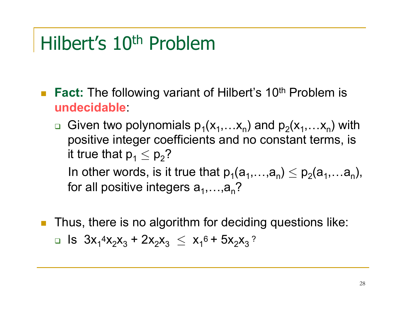## Hilbert's 10th Problem

- **Fact:** The following variant of Hilbert's 10<sup>th</sup> Problem is **undecidable**:
	- **Given two polynomials**  $p_1(x_1,...x_n)$  **and**  $p_2(x_1,...x_n)$  **with** positive integer coefficients and no constant terms, is it true that  $\mathsf{p}_1 \leq \mathsf{p}_2$ ? In other words, is it true that  $p_1(a_1,...,a_n) \leq p_2(a_1,...a_n)$ ,<br>far all neeitive integers a for all positive integers  $a_1,...,a_n$ ?
- **Thus, there is no algorithm for deciding questions like:** □ Is  $3x_1^4x_2x_3 + 2x_2x_3 \le x_1^6 + 5x_2x_3$ ?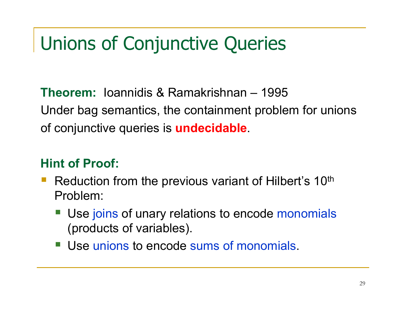# Unions of Conjunctive Queries

**Theorem:** Ioannidis & Ramakrishnan – <sup>1995</sup> Under bag semantics, the containment problem for unionsof conjunctive queries is **undecidable**.

#### **Hint of Proof:**

- Reduction from the previous variant of Hilbert's 10<sup>th</sup> Problem:
	- Use joins of unary relations to encode monomials (products of variables).
	- Use unions to encode sums of monomials.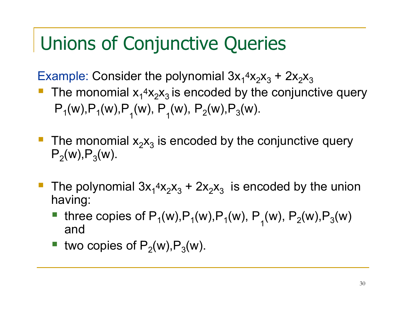### Unions of Conjunctive Queries

Example: Consider the polynomial 3x $_1$ 4x $_2$ x $_3$  $_3$  + 2x  $_{\rm 2} \mathsf{X}_{\rm 3}$ 

- The monomial  $x_1$ <sup>4</sup> $x_2$  $x_3$  is encoded by the conjunctive query - $\mathsf{P}_\mathsf{1}(\mathsf{w}),\mathsf{P}_\mathsf{1}(\mathsf{w}),\mathsf{P}_\mathsf{1}(\mathsf{w}),\,\mathsf{P}_\mathsf{1}(\mathsf{w}),\mathsf{P}_\mathsf{2}(\mathsf{w}),\mathsf{P}_\mathsf{3}(\mathsf{w}).$
- **The monomial**  $x_2x_3$  $_{\rm 3}$  is encoded by the conjunctive query  $\mathsf{P}_2(\mathsf{w}),\mathsf{P}_3(\mathsf{w}).$
- The polynomial  $3x_1^4x_2x_3$  $_3$  + 2x  $_{\rm 2} \mathsf{X}_{\rm 3}$  $_3$  is encoded by the union having:
	- three copies of P<sub>1</sub>(w),P<sub>1</sub>(w),P<sub>1</sub>(w), P<sub>1</sub>(w), P<sub>2</sub>(w),P<sub>3</sub>(w) and
	- two copies of  $P_2(w)$ , $P_3(w)$ .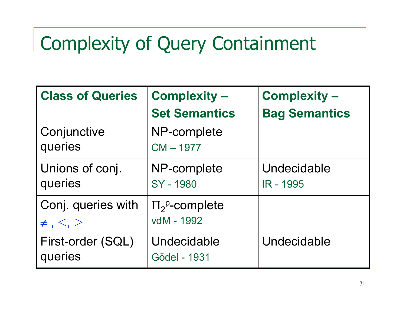# Complexity of Query Containment

| <b>Class of Queries</b>                        | <b>Complexity -</b>                        | <b>Complexity -</b>             |
|------------------------------------------------|--------------------------------------------|---------------------------------|
|                                                | <b>Set Semantics</b>                       | <b>Bag Semantics</b>            |
| Conjunctive<br>queries                         | NP-complete<br>$CM - 1977$                 |                                 |
| Unions of conj.<br>queries                     | NP-complete<br>SY - 1980                   | Undecidable<br><b>IR - 1995</b> |
| Conj. queries with<br>$\neq$ , $\leq$ , $\geq$ | $\Pi_2^{\text{p}}$ -complete<br>vdM - 1992 |                                 |
| First-order (SQL)<br>queries                   | Undecidable<br>Gödel - 1931                | Undecidable                     |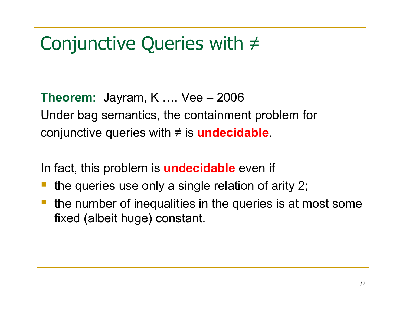# Conjunctive Queries with ≠

**Theorem:** Jayram, K ..., Vee – 2006 Under bag semantics, the containment problem forconjunctive queries with ≠ is **undecidable**.

In fact, this problem is **undecidable** even if

- the queries use only a single relation of arity 2;
- the number of inequalities in the queries is at most some fixed (albeit huge) constant.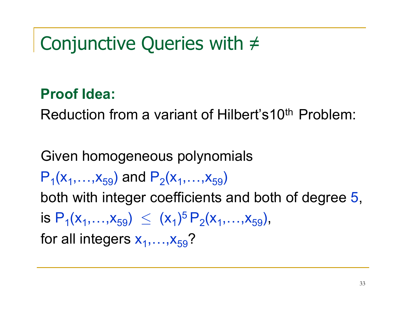## Conjunctive Queries with ≠

#### **Proof Idea:**

Reduction from a variant of Hilbert's10th Problem:

Given homogeneous polynomials  $\mathsf{P}_\mathsf{1}(\mathsf{x}_1,\ldots,\mathsf{x}_{59})$  and  $\mathsf{P}_\mathsf{2}(\mathsf{x}_1,\ldots,\mathsf{x}_{59})$ both with integer coefficients and both of degree 5, is  $\mathsf{P}_1(\mathsf{x}_1,\ldots,\mathsf{x}_{59}) \ \leq \ (\mathsf{x}% _1,\ldots,\mathsf{x}_{59}) \ \leq \ \mathsf{x}% _2,\ldots,\mathsf{x}_{99}$ for all integers  $x_1,...,x_{59}$ ?  $_{1})^{5}P_{2}(x_{1},...,x_{59}),$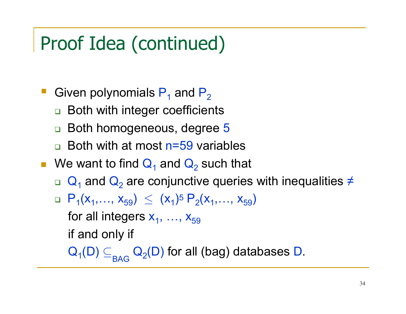# Proof Idea (continued)

- Given polynomials  $P_1$  and  $P_2$ 
	- □ Both with integer coefficients  $\Box$
	- $\Box$ □ Both homogeneous, degree 5
	- $\Box$ □ Both with at most n=59 variables
- We want to find  $\mathbf{Q}_1$  and  $\mathbf{Q}_2$ <sub>2</sub> such that
	- $\Box$  Q<sub>1</sub> and Q<sub>2</sub> are conjun <sub>2</sub> are conjunctive queries with inequalities ≠
	- □  $P_1(x_1,...,x_{59}) \le (x_1)^5 P_2(x_1,...,x_{59})$ for all integers  $\mathsf{x}_{\mathsf{1}},\, ...,\, \mathsf{x}_{\mathsf{59}}$ if and only if

 $\mathsf{Q}_{\mathsf{1}}(\mathsf{D}) \subseteq_{\mathsf{BAG}} \mathsf{Q}_{\mathsf{2}}(\mathsf{D})$  for all (bag) databases  $\mathsf{D}.$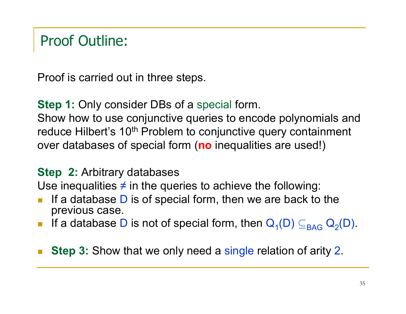#### Proof Outline:

Proof is carried out in three steps.

**Step 1:** Only consider DBs of a special form.<br>Chaushausta use conjunctive august to energ

Show how to use conjunctive queries to encode polynomials andreduce Hilbert's 10<sup>th</sup> Problem to conjunctive query containment over databases of special form (**no** inequalities are used!)

#### **Step 2:** Arbitrary databases

Use inequalities  $\neq$  in the queries to achieve the following:

- m, If a database  $D$  is of special form, then we are back to the nrevious case previous case.
- If a database D is not of special form, then  $\mathsf{Q}_\mathsf{1}(\mathsf{D}) \subseteq_\mathsf{BAG} \mathsf{Q}_\mathsf{2}(\mathsf{D}).$
- m, ■ Step 3: Show that we only need a single relation of arity 2.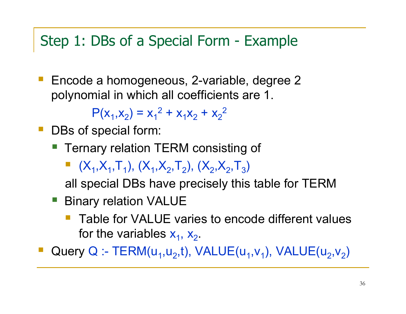#### Step 1: DBs of a Special Form - Example

 Encode a homogeneous, 2-variable, degree 2 polynomial in which all coefficients are 1.

> $P(x_1, x_2) = x_1^2 + x_1x_2$  $_2$  +  $\times$ 22

- DBs of special form:
	- **Ternary relation TERM consisting of** 
		- $(X_1, X_1, T_1), (X_1, X_2, T_2), (X_2, X_2, T_3)$

all special DBs have precisely this table for TERM<br>-

- **Binary relation VALUE** 
	- Table for VALUE varies to encode different values for the variables  $x_1$ ,  $x_2$ .

**Query Q :- TERM(u<sub>1</sub>,u<sub>2</sub>,t), VALUE(u<sub>1</sub>,v<sub>1</sub>), VALUE(u<sub>2</sub>,v<sub>2</sub>)** -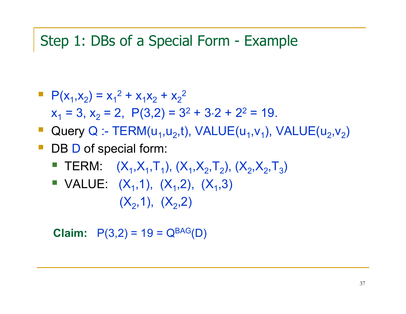#### Step 1: DBs of a Special Form - Example

$$
P(x_1, x_2) = x_1^2 + x_1x_2 + x_2^2
$$
  
x<sub>1</sub> = 3, x<sub>2</sub> = 2, P(3,2) = 3<sup>2</sup> + 3.2 + 2<sup>2</sup> = 19.

- Query Q :- TERM(u<sub>1</sub>, u<sub>2</sub>, t), VALUE(u<sub>1</sub>, v<sub>1</sub>), VALUE(u<sub>2</sub>, v<sub>2</sub>)
- DB D of special form:
	- **TERM:**  $(X_1, X_1, T_1)$ ,  $(X_1, X_2, T_2)$ ,  $(X_2, X_2, T_3)$
	- $\blacksquare$  VALUE:  $(X_1,1)$ ,  $(X_1,2)$ ,  $(X_1,3)$  $(X_{2},1),\;\;(X_{2},2)$

**Claim:**  $P(3,2) = 19 = Q^{BAG}(D)$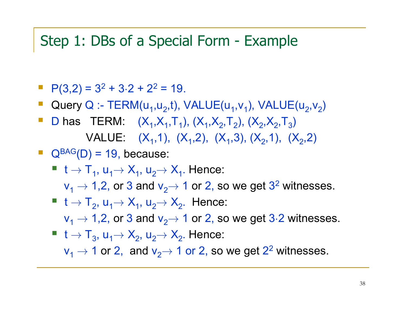#### Step 1: DBs of a Special Form - Example

- $P(3,2) = 3^2 + 3 \cdot 2 + 2^2 = 19$ .
- Query Q :- TERM( $u_1, u_2, t$ ), VALUE( $u_1, v_1$ ), VALUE( $u_2, v_2$ )
- $\mathcal{L}_{\mathcal{A}}$ D has TERM:  $(X_1, X_1, T_1)$ ,  $(X_1, X_2, T_2)$ ,  $(X_2, X_2, T_3)$ VALUE:  $(X_1,1)$ ,  $(X_1,2)$ ,  $(X_1,3)$ ,  $(X_2,1)$ ,  $(X_2,2)$
- $\Box$  Q<sup>BAG</sup>(D) = 19, because:
	- $\mathsf{t} \to \mathsf{T}_1$ , u<sub>1</sub> $\to$   $\mathsf{X}_1$ , u<sub>2</sub> $\to$   $\mathsf{X}_1$ . Hence: v1 <sup>→</sup> 1,2, or 3 and v2→ 1 or 2, so we get 32 witnesses.
	- $t \rightarrow T_2$ , u<sub>1</sub> $\rightarrow$  X<sub>1</sub>, u<sub>2</sub> $\rightarrow$  X<sub>2</sub>. Hence:  $v_1 \rightarrow 1,2$ , or 3 and  $v_2 \rightarrow$  1 or 2, so we get 3·2 witnesses.<br>  $v_1 \rightarrow \tau$
	- $t \rightarrow T_3$ ,  $u_1 \rightarrow X_2$ ,  $u_2 \rightarrow X_2$ . Hence:  $\mathsf{v}_1 \rightarrow$  1 or 2, and  $\mathsf{v}_2 \rightarrow$  1 or 2, so we get 2<sup>2</sup> witnesses.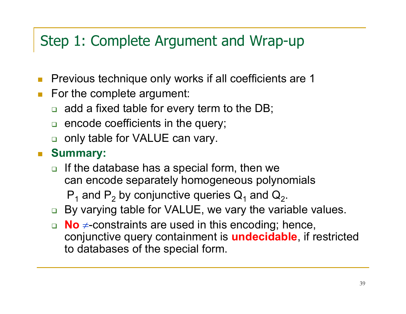#### Step 1: Complete Argument and Wrap-up

- m, Previous technique only works if all coefficients are 1
- For the complete argument:
	- $\Box$  add a fixed table for every term to the DB;
	- $\Box$  encode coefficients in the query;
	- $\Box$ only table for VALUE can vary.
- **Summary:** 
	- $\Box$  If the database has a special form, then we can encode separately homogeneous polynomials

 $\mathsf{P}_\mathsf{1}$  and  $\mathsf{P}$ 2 $_2$  by conjunctive queries  $\mathsf{Q}_1$  and  $\mathsf{Q}$ 2.

- □ By varying table for VALUE, we vary the variable values.
- **No**≠-constraints are used in this encoding; hence, conjunctive query containment is **undecidable**, if restricted to databases of the special form.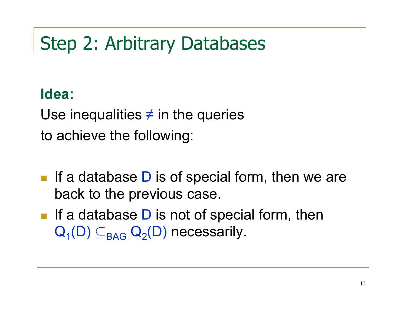## Step 2: Arbitrary Databases

#### **Idea:**

Use inequalities  $\neq$  in the queries to achieve the following:

- $\mathbb{R}^3$ If a database  $D$  is of special form, then we are back to the previous case.
- If a database  $D$  is not of special form, then  $\mathsf{Q}_{\mathsf{1}}(\mathsf{D})\subseteq_{\mathsf{BAG}}\mathsf{Q}_{\mathsf{2}}(\mathsf{D})$  necessarily.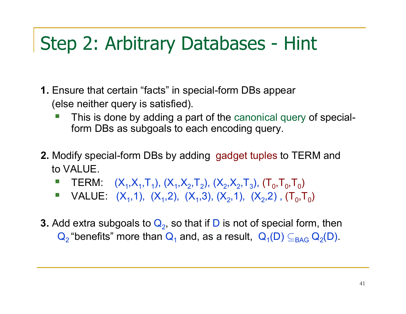# Step 2: Arbitrary Databases - Hint

- **1.** Ensure that certain "facts" in special-form DBs appear (else neither query is satisfied).
	- This is done by adding a part of the canonical query of specialform DBs as subgoals to each encoding query.
- **2.** Modify special-form DBs by adding gadget tuples to TERM and to VALUE.
	- -**TERM:**  $(X_1, X_1, T_1)$ ,  $(X_1, X_2, T_2)$ ,  $(X_2, X_2, T_3)$ ,  $(T_0, T_0, T_0)$
	- VALUE:  $(X_1,1)$ ,  $(X_1,2)$ ,  $(X_1,3)$ ,  $(X_2,1)$ ,  $(X_2,2)$ ,  $(T_0,T_0)$  $\Box$
- **3.** Add extra subgoals to  $\mathsf{Q}_2$ , so that if D is not of special form, then  ${\bf Q}_{2}$  "benefits" more than  ${\bf Q}_{1}$  and, as a result,  $\ {\bf Q}_{1}({\sf D})\subseteq_{\mathsf{BAG}} {\bf Q}_{2}({\sf D}).$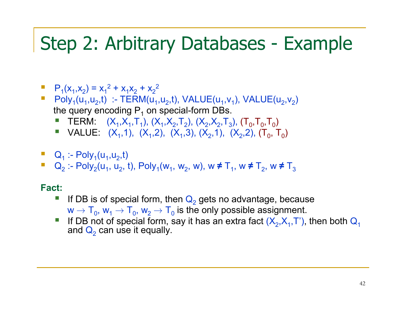### Step 2: Arbitrary Databases - Example

- $P_1(x_1, x_2) = x_1^2 + x_1x_2 + x_2$ 2
- Poly<sub>1</sub>(u<sub>1</sub>,u<sub>2</sub>,t) :- TERM(u<sub>1</sub>,u<sub>2</sub>,t), VALUE(u<sub>1</sub>,v<sub>1</sub>), VALUE(u<sub>2</sub>,v<sub>2</sub>) the query encoding P<sub>1</sub> on special-form DBs.
	- **TERM:**  $(X_1, X_1, T_1)$ ,  $(X_1, X_2, T_2)$ ,  $(X_2, X_2, T_3)$ ,  $(T_0, T_0, T_0)$
	- **•** VALUE:  $(X_1,1)$ ,  $(X_1,2)$ ,  $(X_1,3)$ ,  $(X_2,1)$ ,  $(X_2,2)$ ,  $(T_0, T_0)$
- $Q_1$  :- Poly<sub>1</sub>(u<sub>1</sub>,u<sub>2</sub>,t)
- $\blacksquare$  Q<sub>2</sub> :- Poly<sub>2</sub>(u<sub>1</sub>, u<sub>2</sub>, 2 :- Poly<sub>2</sub>(u<sub>1</sub>, u<sub>2</sub>, t), Poly<sub>1</sub>(w<sub>1</sub>, w<sub>2</sub>, w), w ≠ T<sub>1</sub>, w ≠ T<sub>2</sub>, w ≠ T<sub>3</sub>

#### **Fact:**

- -If DB is of special form, then  $Q_2$  gets no advantage, because  ${\sf w}\to {\sf T}_0, \, {\sf w}_1\to {\sf T}_0, \, {\sf w}_2\to {\sf T}_0$  is the only possible assignment.
- If DB not of special form, say it has an extra fact  $(X_2, X_1, T)$ , then both  $Q_1$ and  $\mathsf{Q}_2$  can use it equally.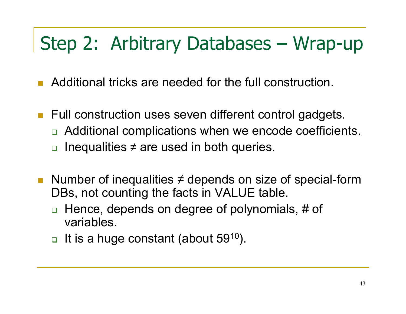## Step 2: Arbitrary Databases – Wrap-up

- Additional tricks are needed for the full construction.
- Full construction uses seven different control gadgets. □ Additional complications when we encode coefficients. **□** Inequalities  $\neq$  are used in both queries.
- Number of inequalities  $\neq$  depends on size of special-form DBs, not counting the facts in VALUE table.
	- $\Box$  Hence, depends on degree of polynomials, # of variables.
	- $\Box$  $\Box$  It is a huge constant (about 59<sup>10</sup>).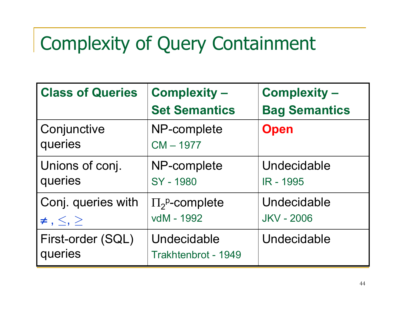# Complexity of Query Containment

| <b>Class of Queries</b>                        | <b>Complexity -</b>                        | <b>Complexity -</b>              |
|------------------------------------------------|--------------------------------------------|----------------------------------|
|                                                | <b>Set Semantics</b>                       | <b>Bag Semantics</b>             |
| Conjunctive<br>queries                         | NP-complete<br>$CM - 1977$                 | <b>Open</b>                      |
| Unions of conj.<br>queries                     | NP-complete<br>SY - 1980                   | Undecidable<br>IR - 1995         |
| Conj. queries with<br>$\neq$ , $\leq$ , $\geq$ | $\Pi_2^{\text{p}}$ -complete<br>vdM - 1992 | Undecidable<br><b>JKV - 2006</b> |
| First-order (SQL)<br>queries                   | Undecidable<br>Trakhtenbrot - 1949         | Undecidable                      |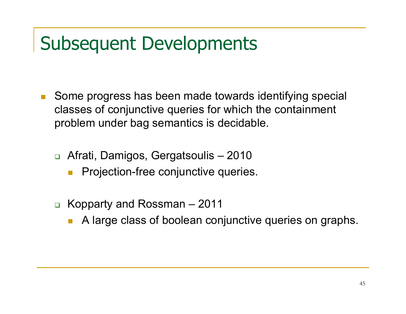## Subsequent Developments

- Г. Some progress has been made towards identifying special classes of conjunctive queries for which the containment problem under bag semantics is decidable.
	- □ Afrati, Damigos, Gergatsoulis 2010
		- m. Projection-free conjunctive queries.
	- Kopparty and Rossman <sup>2011</sup>
		- A large class of boolean conjunctive queries on graphs.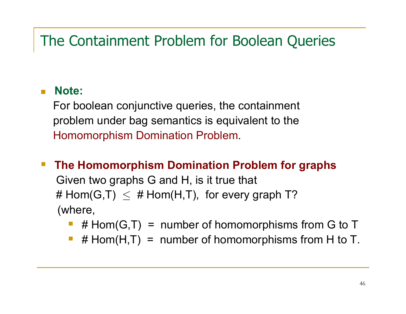#### The Containment Problem for Boolean Queries

#### ٠ **Note:**

For boolean conjunctive queries, the containment problem under bag semantics is equivalent to the Homomorphism Domination Problem.

- $\mathcal{L}_{\mathcal{A}}$  **The Homomorphism Domination Problem for graphs**Given two graphs G and H, is it true that # Hom(G,T)  $\leq$  # Hom(H,T), for every graph T?<br>´ (where,
	- $\mathcal{L}_{\mathcal{A}}$ #  $Hom(G,T)$  = number of homomorphisms from G to T
	- $\mathcal{L}_{\mathcal{A}}$ #  $Hom(H,T)$  = number of homomorphisms from H to T.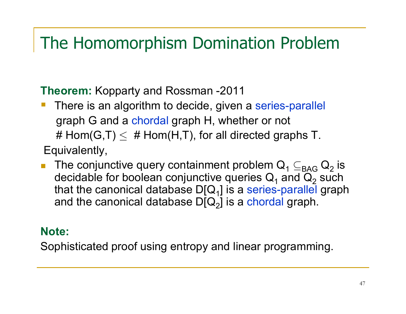#### The Homomorphism Domination Problem

**Theorem:** Kopparty and Rossman -2011

- $\mathcal{L}_{\mathcal{A}}$ There is an algorithm to decide, given a series-parallel graph G and a chordal graph H, whether or not #  $\mathsf{Hom}(\mathsf{G},\mathsf{T})\leq~\#$  Hom $(\mathsf{H},\mathsf{T})$ , for all directed graphs T.
- Equivalently,
- $\mathcal{L}^{\mathcal{L}}$ The conjunctive query containment problem  $Q_1 \subseteq_{\text{BAG}} Q_2$ <br>also ideals for because serius time america  $Q_2$ and the state of the state of the  $\frac{1}{2}$  is decidable for boolean conjunctive queries Q<sub>1</sub> and Q<br>that the canonical database DIO <u>Lis a series parall</u>e 22 such<br>J.erenk that the canonical database D[Q<sub>1</sub>] is a series-parallel graph and the canonical database D[Q<sub>2</sub>] is a chordal graph.

#### **Note:**

Sophisticated proof using entropy and linear programming.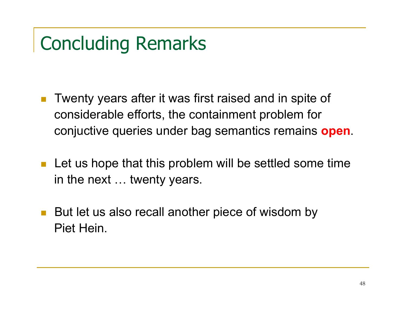# Concluding Remarks

- $\left\vert \psi_{\pm}\right\vert$  Twenty years after it was first raised and in spite of considerable efforts, the containment problem for conjuctive queries under bag semantics remains **open**.
- Let us hope that this problem will be settled some time in the next ... twenty years.
- $\mathcal{L}_{\mathcal{A}}$  But let us also recall another piece of wisdom by Piet Hein.